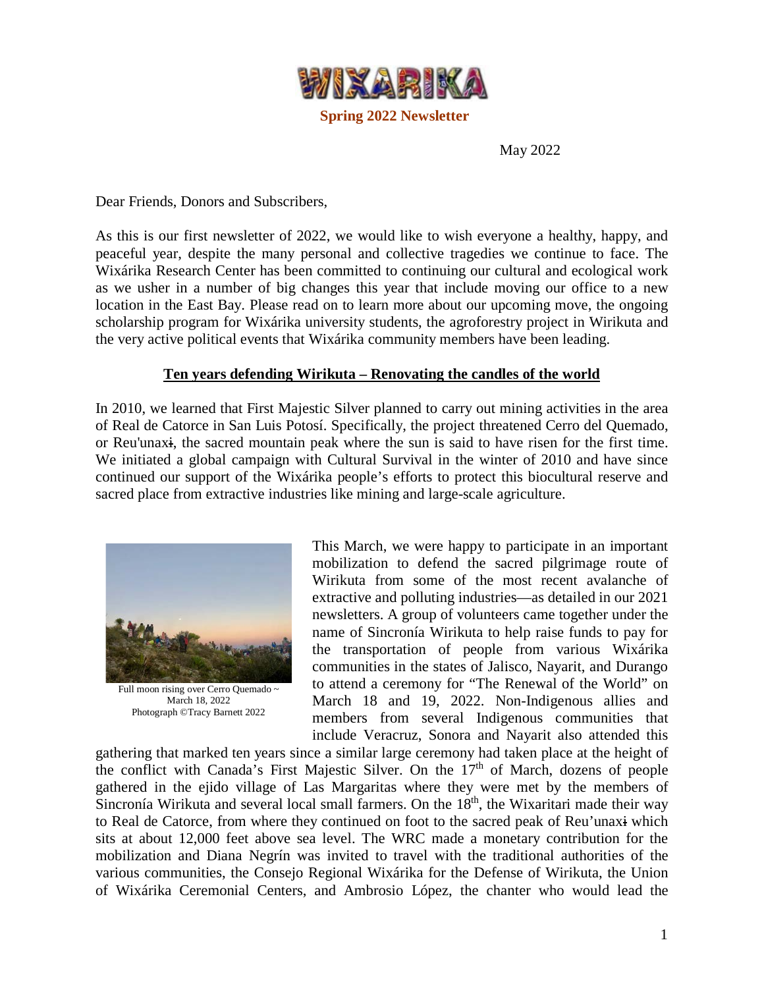

May 2022

Dear Friends, Donors and Subscribers,

As this is our first newsletter of 2022, we would like to wish everyone a healthy, happy, and peaceful year, despite the many personal and collective tragedies we continue to face. The Wixárika Research Center has been committed to continuing our cultural and ecological work as we usher in a number of big changes this year that include moving our office to a new location in the East Bay. Please read on to learn more about our upcoming move, the ongoing scholarship program for Wixárika university students, the agroforestry project in Wirikuta and the very active political events that Wixárika community members have been leading.

## **Ten years defending Wirikuta – Renovating the candles of the world**

In 2010, we learned that First Majestic Silver planned to carry out mining activities in the area of Real de Catorce in San Luis Potosí. Specifically, the project threatened Cerro del Quemado, or Reu'unaxi, the sacred mountain peak where the sun is said to have risen for the first time. We initiated a global campaign with Cultural Survival in the winter of 2010 and have since continued our support of the Wixárika people's efforts to protect this biocultural reserve and sacred place from extractive industries like mining and large-scale agriculture.



Full moon rising over Cerro Quemado ~ March 18, 2022 Photograph ©Tracy Barnett 2022

This March, we were happy to participate in an important mobilization to defend the sacred pilgrimage route of Wirikuta from some of the most recent avalanche of extractive and polluting industries—as detailed in our 2021 newsletters. A group of volunteers came together under the name of Sincronía Wirikuta to help raise funds to pay for the transportation of people from various Wixárika communities in the states of Jalisco, Nayarit, and Durango to attend a ceremony for "The Renewal of the World" on March 18 and 19, 2022. Non-Indigenous allies and members from several Indigenous communities that include Veracruz, Sonora and Nayarit also attended this

gathering that marked ten years since a similar large ceremony had taken place at the height of the conflict with Canada's First Majestic Silver. On the  $17<sup>th</sup>$  of March, dozens of people gathered in the ejido village of Las Margaritas where they were met by the members of Sincronía Wirikuta and several local small farmers. On the 18<sup>th</sup>, the Wixaritari made their way to Real de Catorce, from where they continued on foot to the sacred peak of Reu'unaxi which sits at about 12,000 feet above sea level. The WRC made a monetary contribution for the mobilization and Diana Negrín was invited to travel with the traditional authorities of the various communities, the Consejo Regional Wixárika for the Defense of Wirikuta, the Union of Wixárika Ceremonial Centers, and Ambrosio López, the chanter who would lead the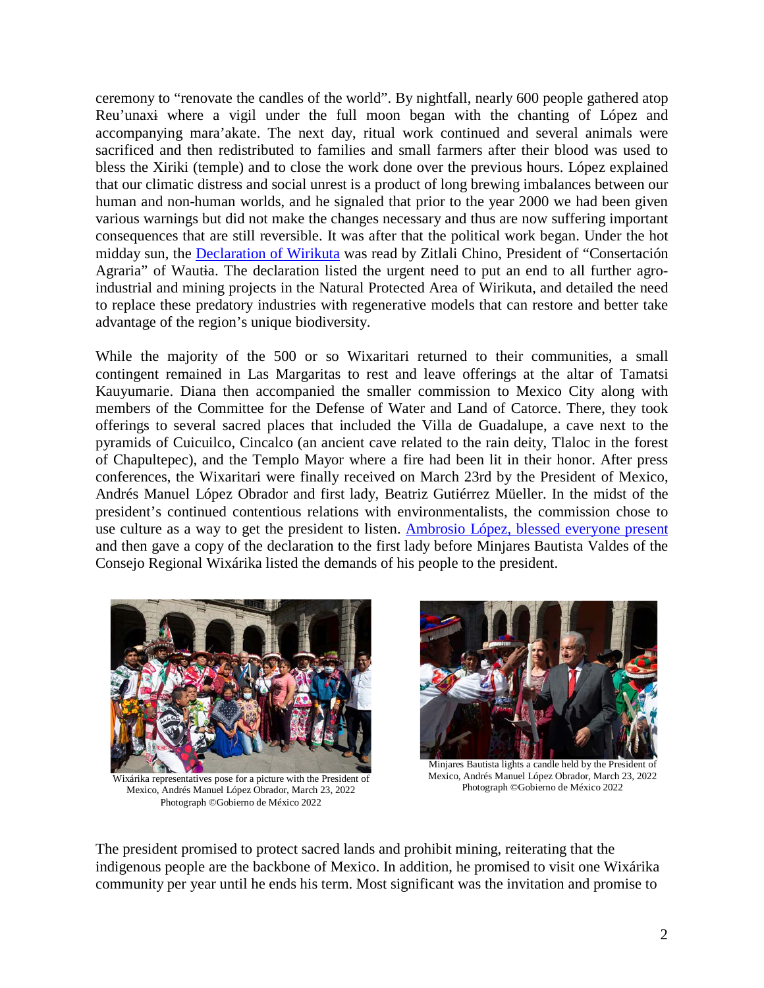ceremony to "renovate the candles of the world". By nightfall, nearly 600 people gathered atop Reu'unaxi where a vigil under the full moon began with the chanting of López and accompanying mara'akate. The next day, ritual work continued and several animals were sacrificed and then redistributed to families and small farmers after their blood was used to bless the Xiriki (temple) and to close the work done over the previous hours. López explained that our climatic distress and social unrest is a product of long brewing imbalances between our human and non-human worlds, and he signaled that prior to the year 2000 we had been given various warnings but did not make the changes necessary and thus are now suffering important consequences that are still reversible. It was after that the political work began. Under the hot midday sun, the [Declaration](https://www.venadomestizo.org/renovaciondelmundo) of Wirikuta was read by Zitlali Chino, President of "Consertación Agraria" of Wautia. The declaration listed the urgent need to put an end to all further agroindustrial and mining projects in the Natural Protected Area of Wirikuta, and detailed the need to replace these predatory industries with regenerative models that can restore and better take advantage of the region's unique biodiversity.

While the majority of the 500 or so Wixaritari returned to their communities, a small contingent remained in Las Margaritas to rest and leave offerings at the altar of Tamatsi Kauyumarie. Diana then accompanied the smaller commission to Mexico City along with members of the Committee for the Defense of Water and Land of Catorce. There, they took offerings to several sacred places that included the Villa de Guadalupe, a cave next to the pyramids of Cuicuilco, Cincalco (an ancient cave related to the rain deity, Tlaloc in the forest of Chapultepec), and the Templo Mayor where a fire had been lit in their honor. After press conferences, the Wixaritari were finally received on March 23rd by the President of Mexico, Andrés Manuel López Obrador and first lady, Beatriz Gutiérrez Müeller. In the midst of the president's continued contentious relations with environmentalists, the commission chose to use culture as a way to get the president to listen. [Ambrosio López, blessed everyone present](https://www.wixarika.org/ceremonia-wixarika-tradicional-con-el-presidente-23-de-marzo-de-2022) and then gave a copy of the declaration to the first lady before Minjares Bautista Valdes of the Consejo Regional Wixárika listed the demands of his people to the president.



Wixárika representatives pose for a picture with the President of Mexico, Andrés Manuel López Obrador, March 23, 2022 Photograph ©Gobierno de México 2022



Minjares Bautista lights a candle held by the President of Mexico, Andrés Manuel López Obrador, March 23, 2022 Photograph ©Gobierno de México 2022

The president promised to protect sacred lands and prohibit mining, reiterating that the indigenous people are the backbone of Mexico. In addition, he promised to visit one Wixárika community per year until he ends his term. Most significant was the invitation and promise to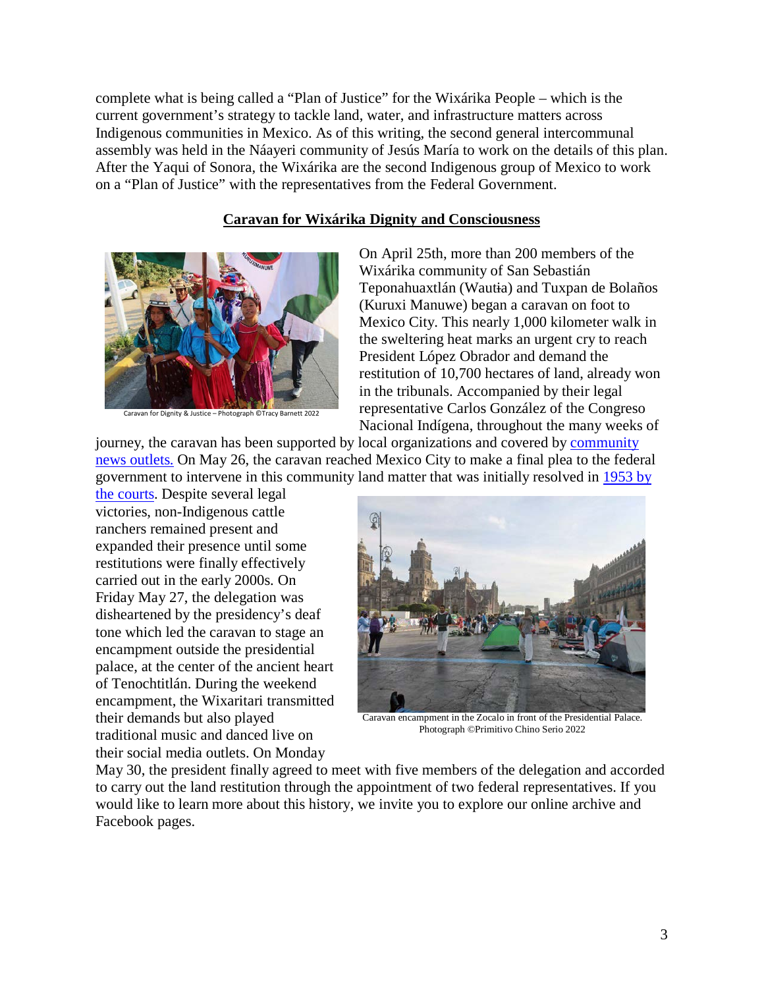complete what is being called a "Plan of Justice" for the Wixárika People – which is the current government's strategy to tackle land, water, and infrastructure matters across Indigenous communities in Mexico. As of this writing, the second general intercommunal assembly was held in the Náayeri community of Jesús María to work on the details of this plan. After the Yaqui of Sonora, the Wixárika are the second Indigenous group of Mexico to work on a "Plan of Justice" with the representatives from the Federal Government.

### **Caravan for Wixárika Dignity and Consciousness**



Caravan for Dignity & Justice – Photograph ©Tracy Barnett 2022

On April 25th, more than 200 members of the Wixárika community of San Sebastián Teponahuaxtlán (Wautia) and Tuxpan de Bolaños (Kuruxi Manuwe) began a caravan on foot to Mexico City. This nearly 1,000 kilometer walk in the sweltering heat marks an urgent cry to reach President López Obrador and demand the restitution of 10,700 hectares of land, already won in the tribunals. Accompanied by their legal representative Carlos González of the Congreso Nacional Indígena, throughout the many weeks of

journey, the caravan has been supported by local organizations and covered by [community](https://www.esperanzaproject.com/2022/native-american-culture/wixarika/wixarika-caravan-to-amlo-we-want-our-landback/?ct=t%28EMAIL_CAMPAIGN_10_27_2021_7_20_COPY_01%29)  [news outlets.](https://www.esperanzaproject.com/2022/native-american-culture/wixarika/wixarika-caravan-to-amlo-we-want-our-landback/?ct=t%28EMAIL_CAMPAIGN_10_27_2021_7_20_COPY_01%29) On May 26, the caravan reached Mexico City to make a final plea to the federal government to intervene in this community land matter that was initially resolved in [1953 by](https://ojarasca.jornada.com.mx/2022/05/14/marcha-wixarika-201cresolver-a-medias-genera-mas-violencia201d-7924.html) 

[the courts.](https://ojarasca.jornada.com.mx/2022/05/14/marcha-wixarika-201cresolver-a-medias-genera-mas-violencia201d-7924.html) Despite several legal victories, non-Indigenous cattle ranchers remained present and expanded their presence until some restitutions were finally effectively carried out in the early 2000s. On Friday May 27, the delegation was disheartened by the presidency's deaf tone which led the caravan to stage an encampment outside the presidential palace, at the center of the ancient heart of Tenochtitlán. During the weekend encampment, the Wixaritari transmitted their demands but also played traditional music and danced live on their social media outlets. On Monday



Caravan encampment in the Zocalo in front of the Presidential Palace. Photograph ©Primitivo Chino Serio 2022

May 30, the president finally agreed to meet with five members of the delegation and accorded to carry out the land restitution through the appointment of two federal representatives. If you would like to learn more about this history, we invite you to explore our online archive and Facebook pages.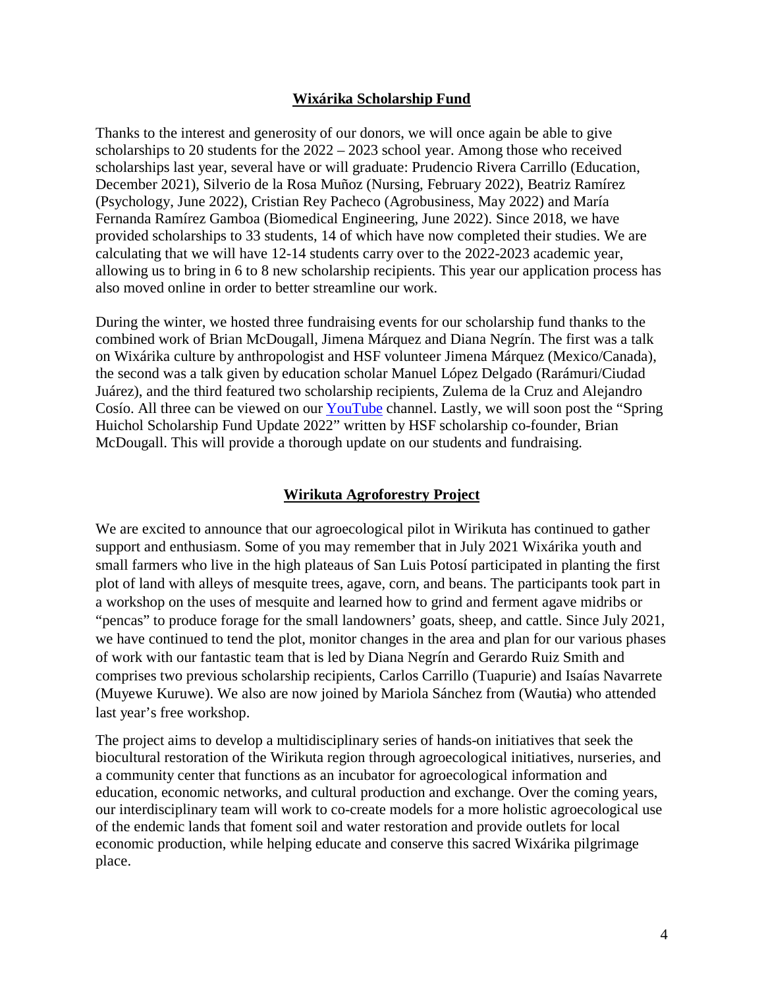## **Wixárika Scholarship Fund**

Thanks to the interest and generosity of our donors, we will once again be able to give scholarships to 20 students for the 2022 – 2023 school year. Among those who received scholarships last year, several have or will graduate: Prudencio Rivera Carrillo (Education, December 2021), Silverio de la Rosa Muñoz (Nursing, February 2022), Beatriz Ramírez (Psychology, June 2022), Cristian Rey Pacheco (Agrobusiness, May 2022) and María Fernanda Ramírez Gamboa (Biomedical Engineering, June 2022). Since 2018, we have provided scholarships to 33 students, 14 of which have now completed their studies. We are calculating that we will have 12-14 students carry over to the 2022-2023 academic year, allowing us to bring in 6 to 8 new scholarship recipients. This year our application process has also moved online in order to better streamline our work.

During the winter, we hosted three fundraising events for our scholarship fund thanks to the combined work of Brian McDougall, Jimena Márquez and Diana Negrín. The first was a talk on Wixárika culture by anthropologist and HSF volunteer Jimena Márquez (Mexico/Canada), the second was a talk given by education scholar Manuel López Delgado (Rarámuri/Ciudad Juárez), and the third featured two scholarship recipients, Zulema de la Cruz and Alejandro Cosío. All three can be viewed on our [YouTube](https://www.youtube.com/channel/UC1OC5ipNBohb7RKUoomb6VQ) channel. Lastly, we will soon post the "Spring Huichol Scholarship Fund Update 2022" written by HSF scholarship co-founder, Brian McDougall. This will provide a thorough update on our students and fundraising.

# **Wirikuta Agroforestry Project**

We are excited to announce that our agroecological pilot in Wirikuta has continued to gather support and enthusiasm. Some of you may remember that in July 2021 Wixárika youth and small farmers who live in the high plateaus of San Luis Potosí participated in planting the first plot of land with alleys of mesquite trees, agave, corn, and beans. The participants took part in a workshop on the uses of mesquite and learned how to grind and ferment agave midribs or "pencas" to produce forage for the small landowners' goats, sheep, and cattle. Since July 2021, we have continued to tend the plot, monitor changes in the area and plan for our various phases of work with our fantastic team that is led by Diana Negrín and Gerardo Ruiz Smith and comprises two previous scholarship recipients, Carlos Carrillo (Tuapurie) and Isaías Navarrete (Muyewe Kuruwe). We also are now joined by Mariola Sánchez from (Wautia) who attended last year's free workshop.

The project aims to develop a multidisciplinary series of hands-on initiatives that seek the biocultural restoration of the Wirikuta region through agroecological initiatives, nurseries, and a community center that functions as an incubator for agroecological information and education, economic networks, and cultural production and exchange. Over the coming years, our interdisciplinary team will work to co-create models for a more holistic agroecological use of the endemic lands that foment soil and water restoration and provide outlets for local economic production, while helping educate and conserve this sacred Wixárika pilgrimage place.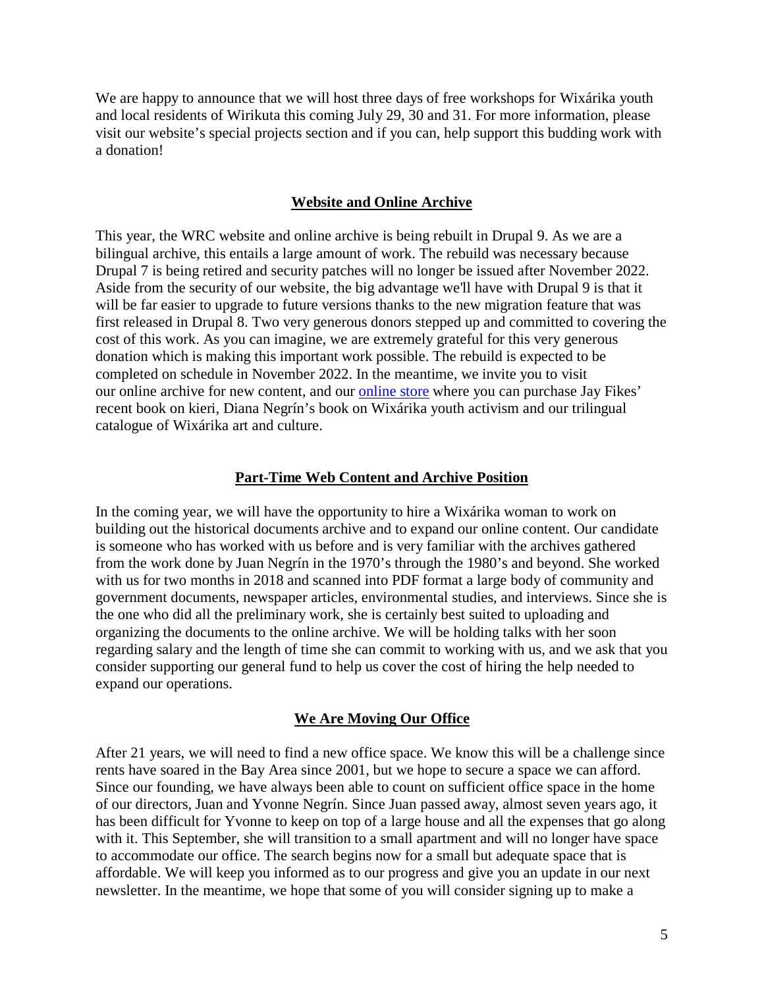We are happy to announce that we will host three days of free workshops for Wixárika youth and local residents of Wirikuta this coming July 29, 30 and 31. For more information, please visit our website's special projects section and if you can, help support this budding work with a donation!

## **Website and Online Archive**

This year, the WRC website and online archive is being rebuilt in Drupal 9. As we are a bilingual archive, this entails a large amount of work. The rebuild was necessary because Drupal 7 is being retired and security patches will no longer be issued after November 2022. Aside from the security of our website, the big advantage we'll have with Drupal 9 is that it will be far easier to upgrade to future versions thanks to the new migration feature that was first released in Drupal 8. Two very generous donors stepped up and committed to covering the cost of this work. As you can imagine, we are extremely grateful for this very generous donation which is making this important work possible. The rebuild is expected to be completed on schedule in November 2022. In the meantime, we invite you to visit our online archive for new content, and our [online store](https://shop.wixarika.org/collections/all) where you can purchase Jay Fikes' recent book on kieri, Diana Negrín's book on Wixárika youth activism and our trilingual catalogue of Wixárika art and culture.

### **Part-Time Web Content and Archive Position**

In the coming year, we will have the opportunity to hire a Wixárika woman to work on building out the historical documents archive and to expand our online content. Our candidate is someone who has worked with us before and is very familiar with the archives gathered from the work done by Juan Negrín in the 1970's through the 1980's and beyond. She worked with us for two months in 2018 and scanned into PDF format a large body of community and government documents, newspaper articles, environmental studies, and interviews. Since she is the one who did all the preliminary work, she is certainly best suited to uploading and organizing the documents to the online archive. We will be holding talks with her soon regarding salary and the length of time she can commit to working with us, and we ask that you consider supporting our general fund to help us cover the cost of hiring the help needed to expand our operations.

## **We Are Moving Our Office**

After 21 years, we will need to find a new office space. We know this will be a challenge since rents have soared in the Bay Area since 2001, but we hope to secure a space we can afford. Since our founding, we have always been able to count on sufficient office space in the home of our directors, Juan and Yvonne Negrín. Since Juan passed away, almost seven years ago, it has been difficult for Yvonne to keep on top of a large house and all the expenses that go along with it. This September, she will transition to a small apartment and will no longer have space to accommodate our office. The search begins now for a small but adequate space that is affordable. We will keep you informed as to our progress and give you an update in our next newsletter. In the meantime, we hope that some of you will consider signing up to make a